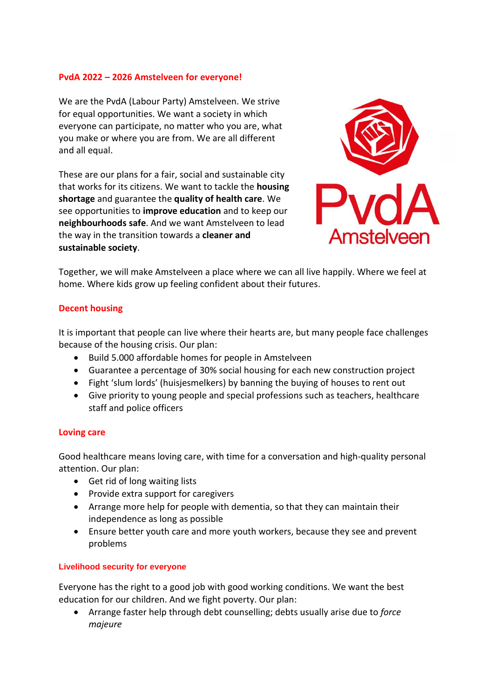## **PvdA 2022 – 2026 Amstelveen for everyone!**

We are the PvdA (Labour Party) Amstelveen. We strive for equal opportunities. We want a society in which everyone can participate, no matter who you are, what you make or where you are from. We are all different and all equal.

These are our plans for a fair, social and sustainable city that works for its citizens. We want to tackle the **housing shortage** and guarantee the **quality of health care**. We see opportunities to **improve education** and to keep our **neighbourhoods safe**. And we want Amstelveen to lead the way in the transition towards a **cleaner and sustainable society**.



Together, we will make Amstelveen a place where we can all live happily. Where we feel at home. Where kids grow up feeling confident about their futures.

## **Decent housing**

It is important that people can live where their hearts are, but many people face challenges because of the housing crisis. Our plan:

- Build 5.000 affordable homes for people in Amstelveen
- Guarantee a percentage of 30% social housing for each new construction project
- Fight 'slum lords' (huisjesmelkers) by banning the buying of houses to rent out
- Give priority to young people and special professions such as teachers, healthcare staff and police officers

## **Loving care**

Good healthcare means loving care, with time for a conversation and high-quality personal attention. Our plan:

- Get rid of long waiting lists
- Provide extra support for caregivers
- Arrange more help for people with dementia, so that they can maintain their independence as long as possible
- Ensure better youth care and more youth workers, because they see and prevent problems

## **Livelihood security for everyone**

Everyone has the right to a good job with good working conditions. We want the best education for our children. And we fight poverty. Our plan:

• Arrange faster help through debt counselling; debts usually arise due to *force majeure*